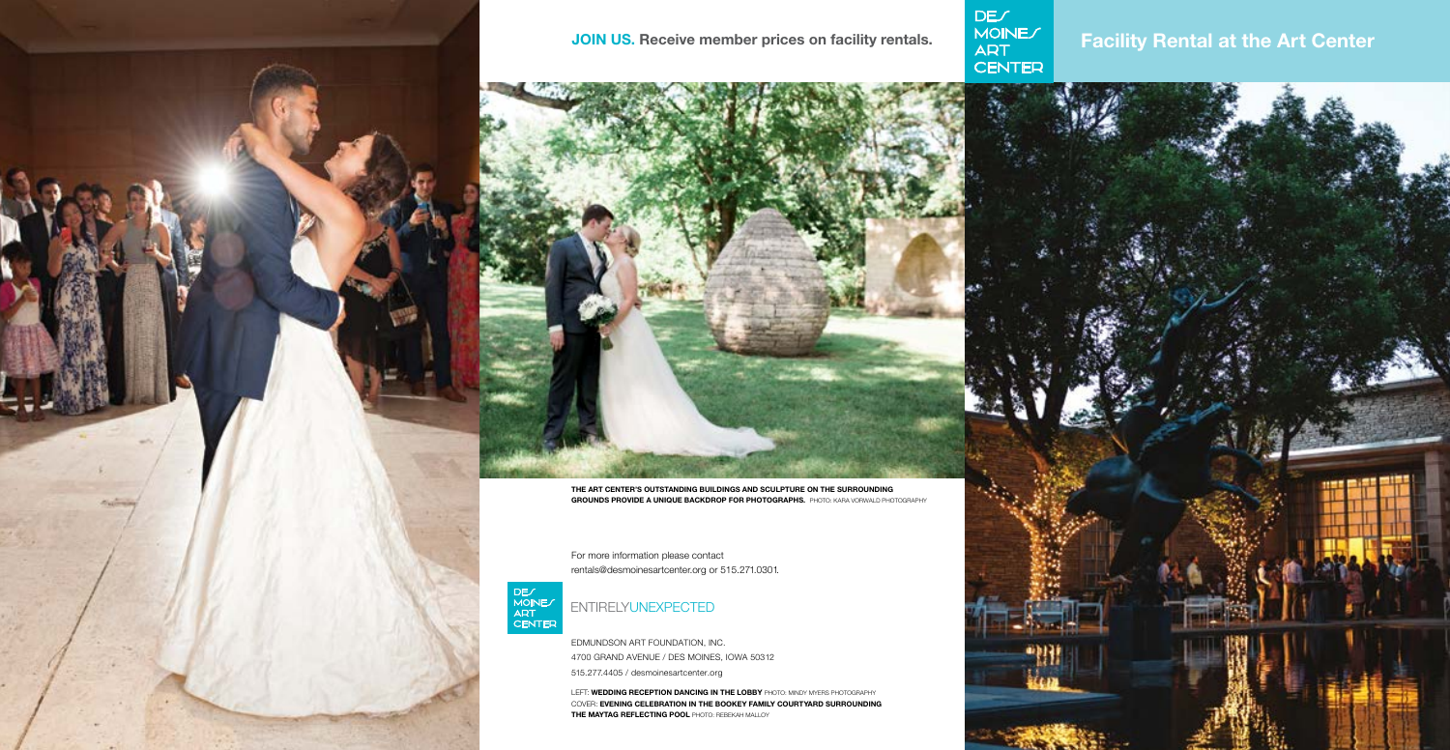



THE ART CENTER'S OUTSTANDING BUILDINGS AND SCULPTURE ON THE SURROUNDING GROUNDS PROVIDE A UNIQUE BACKDROP FOR PHOTOGRAPHS. PHOTO: KARA VORWALD PHOTOGRAPHY

# ENTIRELYUNEXPECTED

For more information please contact rentals@desmoinesartcenter.org or 515.271.0301.



EDMUNDSON ART FOUNDATION, INC. 4700 GRAND AVENUE / DES MOINES, IOWA 50312 515.277.4405 / desmoinesartcenter.org

LEFT: WEDDING RECEPTION DANCING IN THE LOBBY PHOTO: MINDY MYERS PHOTOGRAPHY COVER: EVENING CELEBRATION IN THE BOOKEY FAMILY COURTYARD SURROUNDING THE MAYTAG REFLECTING POOL PHOTO: REBEKAH MALLOY